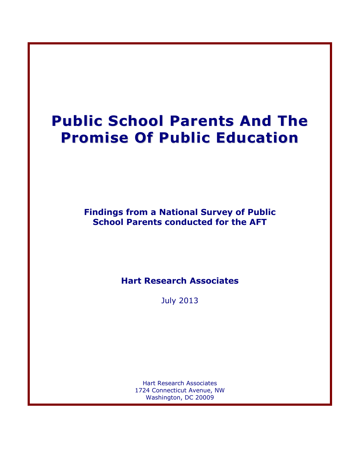# **Public School Parents And The Promise Of Public Education**

**Findings from a National Survey of Public School Parents conducted for the AFT**

**Hart Research Associates**

July 2013

Hart Research Associates 1724 Connecticut Avenue, NW Washington, DC 20009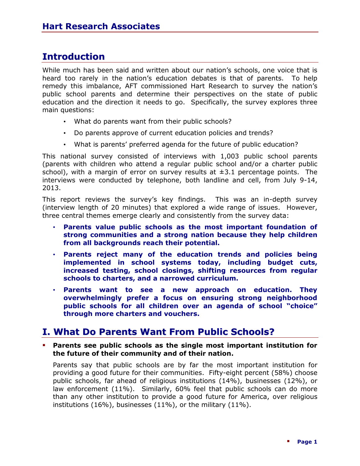### **Introduction**

While much has been said and written about our nation's schools, one voice that is heard too rarely in the nation's education debates is that of parents. To help remedy this imbalance, AFT commissioned Hart Research to survey the nation's public school parents and determine their perspectives on the state of public education and the direction it needs to go. Specifically, the survey explores three main questions:

- What do parents want from their public schools?
- Do parents approve of current education policies and trends?
- What is parents' preferred agenda for the future of public education?

This national survey consisted of interviews with 1,003 public school parents (parents with children who attend a regular public school and/or a charter public school), with a margin of error on survey results at  $\pm 3.1$  percentage points. The interviews were conducted by telephone, both landline and cell, from July 9-14, 2013.

This report reviews the survey's key findings. This was an in-depth survey (interview length of 20 minutes) that explored a wide range of issues. However, three central themes emerge clearly and consistently from the survey data:

- **Parents value public schools as the most important foundation of strong communities and a strong nation because they help children from all backgrounds reach their potential.**
- **Parents reject many of the education trends and policies being implemented in school systems today, including budget cuts, increased testing, school closings, shifting resources from regular schools to charters, and a narrowed curriculum.**
- **Parents want to see a new approach on education. They overwhelmingly prefer a focus on ensuring strong neighborhood public schools for all children over an agenda of school "choice" through more charters and vouchers.**

### **I. What Do Parents Want From Public Schools?**

 **Parents see public schools as the single most important institution for the future of their community and of their nation.** 

Parents say that public schools are by far the most important institution for providing a good future for their communities. Fifty-eight percent (58%) choose public schools, far ahead of religious institutions (14%), businesses (12%), or law enforcement (11%). Similarly, 60% feel that public schools can do more than any other institution to provide a good future for America, over religious institutions (16%), businesses (11%), or the military (11%).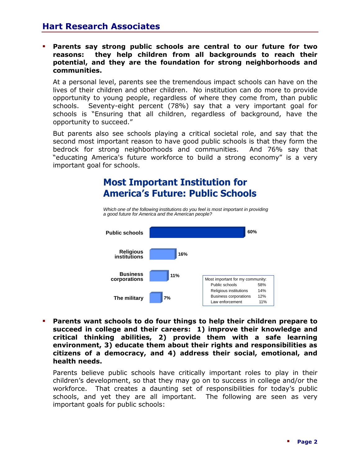### **Hart Research Associates**

 **Parents say strong public schools are central to our future for two reasons: they help children from all backgrounds to reach their potential, and they are the foundation for strong neighborhoods and communities.** 

At a personal level, parents see the tremendous impact schools can have on the lives of their children and other children. No institution can do more to provide opportunity to young people, regardless of where they come from, than public schools. Seventy-eight percent (78%) say that a very important goal for schools is "Ensuring that all children, regardless of background, have the opportunity to succeed."

But parents also see schools playing a critical societal role, and say that the second most important reason to have good public schools is that they form the bedrock for strong neighborhoods and communities. And 76% say that "educating America's future workforce to build a strong economy" is a very important goal for schools.

### **Most Important Institution for America's Future: Public Schools**

*Which one of the following institutions do you feel is most important in providing a good future for America and the American people?*



**5 succeed in college and their careers: 1) improve their knowledge and Parents want schools to do four things to help their children prepare to critical thinking abilities, 2) provide them with a safe learning environment, 3) educate them about their rights and responsibilities as citizens of a democracy, and 4) address their social, emotional, and health needs.** 

Parents believe public schools have critically important roles to play in their children's development, so that they may go on to success in college and/or the workforce. That creates a daunting set of responsibilities for today's public schools, and yet they are all important. The following are seen as very important goals for public schools: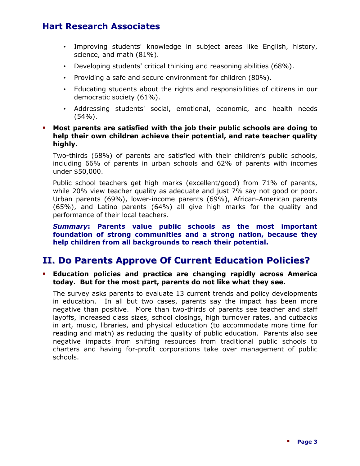- Improving students' knowledge in subject areas like English, history, science, and math (81%).
- Developing students' critical thinking and reasoning abilities (68%).
- Providing a safe and secure environment for children (80%).
- Educating students about the rights and responsibilities of citizens in our democratic society (61%).
- Addressing students' social, emotional, economic, and health needs (54%).

#### **Most parents are satisfied with the job their public schools are doing to help their own children achieve their potential, and rate teacher quality highly.**

Two-thirds (68%) of parents are satisfied with their children's public schools, including 66% of parents in urban schools and 62% of parents with incomes under \$50,000.

Public school teachers get high marks (excellent/good) from 71% of parents, while 20% view teacher quality as adequate and just 7% say not good or poor. Urban parents (69%), lower-income parents (69%), African-American parents (65%), and Latino parents (64%) all give high marks for the quality and performance of their local teachers.

*Summary***: Parents value public schools as the most important foundation of strong communities and a strong nation, because they help children from all backgrounds to reach their potential.**

### **II. Do Parents Approve Of Current Education Policies?**

 **Education policies and practice are changing rapidly across America today. But for the most part, parents do not like what they see.** 

The survey asks parents to evaluate 13 current trends and policy developments in education. In all but two cases, parents say the impact has been more negative than positive. More than two-thirds of parents see teacher and staff layoffs, increased class sizes, school closings, high turnover rates, and cutbacks in art, music, libraries, and physical education (to accommodate more time for reading and math) as reducing the quality of public education. Parents also see negative impacts from shifting resources from traditional public schools to charters and having for-profit corporations take over management of public schools.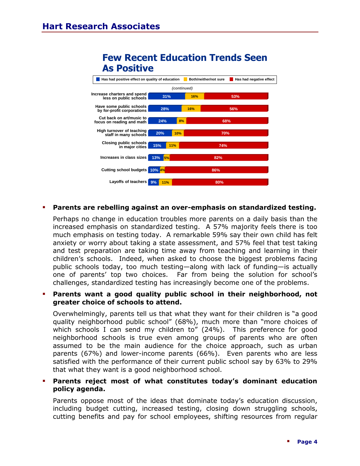### **Few Recent Education Trends Seen As Positive**



#### **Parents are rebelling against an over-emphasis on standardized testing.**

Perhaps no change in education troubles more parents on a daily basis than the increased emphasis on standardized testing. A 57% majority feels there is too much emphasis on testing today. A remarkable 59% say their own child has felt anxiety or worry about taking a state assessment, and 57% feel that test taking and test preparation are taking time away from teaching and learning in their children's schools. Indeed, when asked to choose the biggest problems facing public schools today, too much testing—along with lack of funding—is actually one of parents' top two choices. Far from being the solution for school's challenges, standardized testing has increasingly become one of the problems.

#### **Parents want a good quality public school in their neighborhood, not greater choice of schools to attend.**

Overwhelmingly, parents tell us that what they want for their children is "a good quality neighborhood public school" (68%), much more than "more choices of which schools I can send my children to" (24%). This preference for good neighborhood schools is true even among groups of parents who are often assumed to be the main audience for the choice approach, such as urban parents (67%) and lower-income parents (66%). Even parents who are less satisfied with the performance of their current public school say by 63% to 29% that what they want is a good neighborhood school.

#### **Parents reject most of what constitutes today's dominant education policy agenda.**

Parents oppose most of the ideas that dominate today's education discussion, including budget cutting, increased testing, closing down struggling schools, cutting benefits and pay for school employees, shifting resources from regular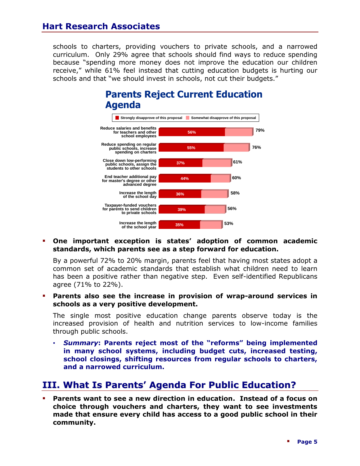schools to charters, providing vouchers to private schools, and a narrowed curriculum.Only 29% agree that schools should find ways to reduce spending because "spending more money does not improve the education our children receive," while 61% feel instead that cutting education budgets is hurting our schools and that "we should invest in schools, not cut their budgets."

### **Parents Reject Current Education Agenda**



### **19 One important exception is states' adoption of common academic standards, which parents see as a step forward for education.**

By a powerful 72% to 20% margin, parents feel that having most states adopt a common set of academic standards that establish what children need to learn has been a positive rather than negative step. Even self-identified Republicans agree (71% to 22%).

#### **Parents also see the increase in provision of wrap-around services in schools as a very positive development.**

The single most positive education change parents observe today is the increased provision of health and nutrition services to low-income families through public schools.

• *Summary***: Parents reject most of the "reforms" being implemented in many school systems, including budget cuts, increased testing, school closings, shifting resources from regular schools to charters, and a narrowed curriculum.**

### **III. What Is Parents' Agenda For Public Education?**

 **Parents want to see a new direction in education. Instead of a focus on choice through vouchers and charters, they want to see investments made that ensure every child has access to a good public school in their community.**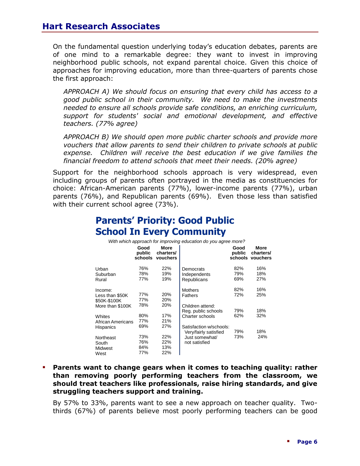### **Hart Research Associates**

On the fundamental question underlying today's education debates, parents are of one mind to a remarkable degree: they want to invest in improving neighborhood public schools, not expand parental choice. Given this choice of approaches for improving education, more than three-quarters of parents chose the first approach:

*APPROACH A) We should focus on ensuring that every child has access to a good public school in their community. We need to make the investments needed to ensure all schools provide safe conditions, an enriching curriculum, support for students' social and emotional development, and effective teachers. (77% agree)*

*APPROACH B) We should open more public charter schools and provide more vouchers that allow parents to send their children to private schools at public*  expense. Children will receive the best education if we give families the *financial freedom to attend schools that meet their needs. (20% agree)*

Support for the neighborhood schools approach is very widespread, even including groups of parents often portrayed in the media as constituencies for choice: African-American parents (77%), lower-income parents (77%), urban parents (76%), and Republican parents (69%). Even those less than satisfied with their current school agree (73%).

## **Parents' Priority: Good Public School In Every Community**

*With which approach for improving education do you agree more?*

|                                                                | Good<br>public<br>schools | More<br>charters/<br>vouchers |                                                                             | Good<br>public    | More<br>charters/<br>schools vouchers |
|----------------------------------------------------------------|---------------------------|-------------------------------|-----------------------------------------------------------------------------|-------------------|---------------------------------------|
| Urban<br>Suburban<br>Rural                                     | 76%<br>78%<br>77%         | 22%<br>19%<br>19%             | Democrats<br>Independents<br>Republicans                                    | 82%<br>79%<br>69% | 16%<br>18%<br>27%                     |
| Income:<br>Less than \$50K<br>\$50K-\$100K<br>More than \$100K | 77%<br>77%<br>78%         | 20%<br>20%<br>20%             | <b>Mothers</b><br><b>Fathers</b><br>Children attend:<br>Reg. public schools | 82%<br>72%<br>79% | 16%<br>25%<br>18%                     |
| Whites<br>African Americans<br>Hispanics                       | 80%<br>77%<br>69%         | 17%<br>21%<br>27%             | Charter schools<br>Satisfaction w/schools:<br>Very/fairly satisfied         | 62%<br>79%        | 32%<br>18%                            |
| Northeast<br>South<br>Midwest<br>West                          | 73%<br>76%<br>84%<br>77%  | 22%<br>22%<br>13%<br>22%      | Just somewhat/<br>not satisfied                                             | 73%               | 24%                                   |

 **Parents want to change gears when it comes to teaching quality: rather than removing poorly performing teachers from the classroom, we should treat teachers like professionals, raise hiring standards, and give struggling teachers support and training.** 

By 57% to 33%, parents want to see a new approach on teacher quality. Twothirds (67%) of parents believe most poorly performing teachers can be good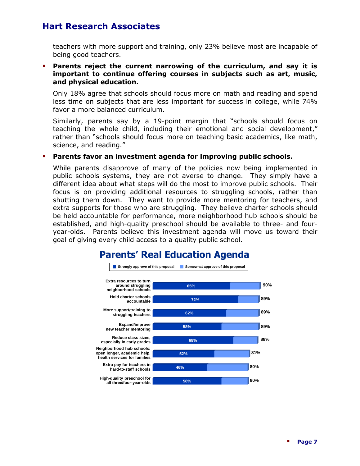teachers with more support and training, only 23% believe most are incapable of being good teachers.

 **Parents reject the current narrowing of the curriculum, and say it is important to continue offering courses in subjects such as art, music, and physical education.** 

Only 18% agree that schools should focus more on math and reading and spend less time on subjects that are less important for success in college, while 74% favor a more balanced curriculum.

Similarly, parents say by a 19-point margin that "schools should focus on teaching the whole child, including their emotional and social development," rather than "schools should focus more on teaching basic academics, like math, science, and reading."

#### **Parents favor an investment agenda for improving public schools.**

While parents disapprove of many of the policies now being implemented in public schools systems, they are not averse to change. They simply have a different idea about what steps will do the most to improve public schools. Their focus is on providing additional resources to struggling schools, rather than shutting them down. They want to provide more mentoring for teachers, and extra supports for those who are struggling. They believe charter schools should be held accountable for performance, more neighborhood hub schools should be established, and high-quality preschool should be available to three- and fouryear-olds. Parents believe this investment agenda will move us toward their goal of giving every child access to a quality public school.